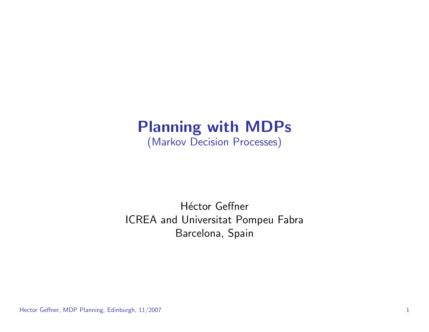## Planning with MDPs (Markov Decision Processes)

#### Héctor Geffner ICREA and Universitat Pompeu Fabra Barcelona, Spain

Hector Geffner, MDP Planning, Edinburgh, 11/2007 1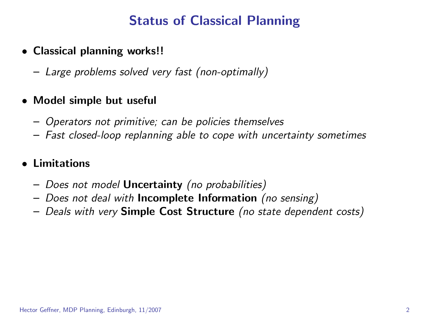## Status of Classical Planning

- Classical planning works!!
	- Large problems solved very fast (non-optimally)

#### • Model simple but useful

- Operators not primitive; can be policies themselves
- Fast closed-loop replanning able to cope with uncertainty sometimes

#### • Limitations

- Does not model Uncertainty (no probabilities)
- Does not deal with Incomplete Information (no sensing)
- Deals with very Simple Cost Structure (no state dependent costs)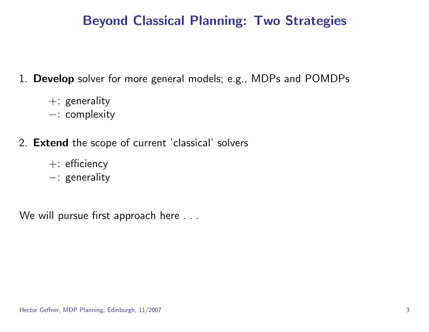## Beyond Classical Planning: Two Strategies

1. Develop solver for more general models; e.g., MDPs and POMDPs

- +: generality
- −: complexity
- 2. Extend the scope of current 'classical' solvers
	- +: efficiency
	- −: generality

We will pursue first approach here . . .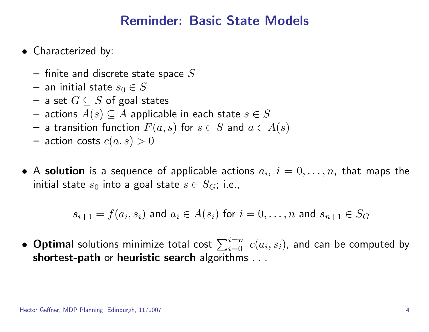#### Reminder: Basic State Models

- Characterized by:
	- $-$  finite and discrete state space  $S$
	- an initial state  $s_0 \in S$
	- a set  $G \subseteq S$  of goal states
	- actions  $A(s)$  ⊆  $A$  applicable in each state  $s \in S$
	- a transition function  $F(a, s)$  for  $s \in S$  and  $a \in A(s)$
	- action costs  $c(a, s) > 0$
- $\bullet$  A solution is a sequence of applicable actions  $a_i,~i=0,\ldots,n,$  that maps the initial state  $s_0$  into a goal state  $s \in S_G$ ; i.e.,

$$
s_{i+1} = f(a_i, s_i) \text{ and } a_i \in A(s_i) \text{ for } i = 0, \dots, n \text{ and } s_{n+1} \in S_G
$$

 $\bullet$  Optimal solutions minimize total cost  $\sum_{i=0}^{i=n}\ c(a_i,s_i)$ , and can be computed by shortest-path or heuristic search algorithms . . .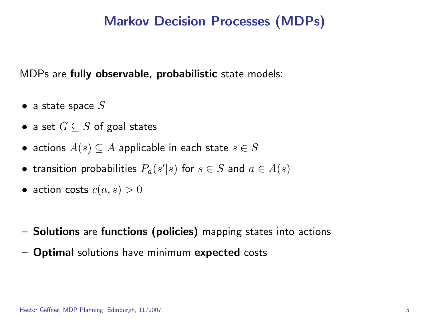#### Markov Decision Processes (MDPs)

MDPs are fully observable, probabilistic state models:

- a state space  $S$
- a set  $G \subseteq S$  of goal states
- actions  $A(s) \subseteq A$  applicable in each state  $s \in S$
- transition probabilities  $P_a(s'|s)$  for  $s \in S$  and  $a \in A(s)$
- action costs  $c(a, s) > 0$
- Solutions are functions (policies) mapping states into actions
- Optimal solutions have minimum expected costs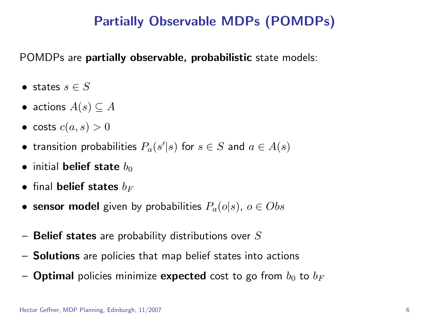## Partially Observable MDPs (POMDPs)

POMDPs are partially observable, probabilistic state models:

- states  $s \in S$
- actions  $A(s) \subseteq A$
- costs  $c(a, s) > 0$
- transition probabilities  $P_a(s'|s)$  for  $s \in S$  and  $a \in A(s)$
- initial belief state  $b_0$
- final belief states  $b_F$
- sensor model given by probabilities  $P_a(o|s)$ ,  $o \in Obs$
- $-$  Belief states are probability distributions over  $S$
- Solutions are policies that map belief states into actions
- Optimal policies minimize expected cost to go from  $b_0$  to  $b_F$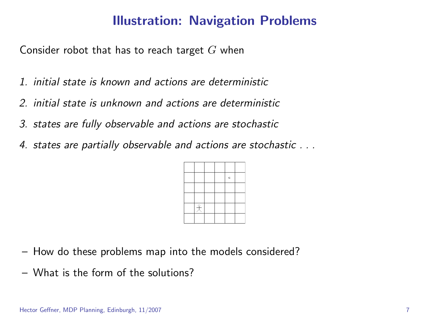## Illustration: Navigation Problems

Consider robot that has to reach target  $G$  when

- 1. initial state is known and actions are deterministic
- 2. initial state is unknown and actions are deterministic
- 3. states are fully observable and actions are stochastic
- 4. states are partially observable and actions are stochastic . . .



- How do these problems map into the models considered?
- What is the form of the solutions?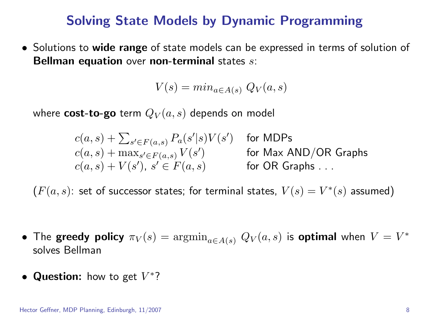#### Solving State Models by Dynamic Programming

• Solutions to wide range of state models can be expressed in terms of solution of Bellman equation over non-terminal states  $s$ :

$$
V(s) = min_{a \in A(s)} Q_V(a, s)
$$

where  $cost-to-go$  term  $Q_V(a, s)$  depends on model

 $c(a,s) + \sum_{s' \in F(a,s)} P_a(s'|s) V(s') \quad \text{ for MDPs}$  $c(a,s) + \max_{s' \in F(a,s)} V(s')$ ) for Max AND/OR Graphs  $c(a, s) + V(s')$ , s or OR Graphs . . .

 $(F(a, s))$ : set of successor states; for terminal states,  $V(s) = V^*(s)$  assumed)

- The greedy policy  $\pi_V(s) = \operatorname{argmin}_{a \in A(s)}\, Q_V(a,s)$  is optimal when  $V = V^*$ solves Bellman
- Question: how to get  $V^*$ ?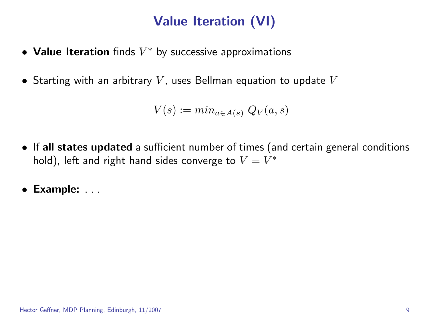# Value Iteration (VI)

- Value Iteration finds  $V^*$  by successive approximations
- Starting with an arbitrary  $V$ , uses Bellman equation to update  $V$

$$
V(s) := min_{a \in A(s)} Q_V(a, s)
$$

- If all states updated a sufficient number of times (and certain general conditions hold), left and right hand sides converge to  $V=V^{\ast}$
- Example: . . .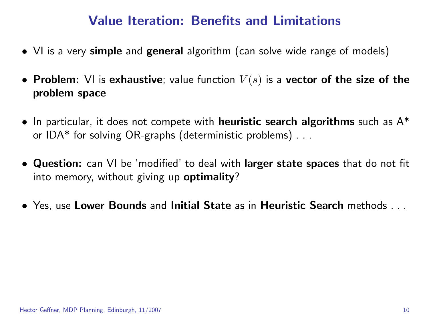#### Value Iteration: Benefits and Limitations

- VI is a very simple and general algorithm (can solve wide range of models)
- Problem: VI is exhaustive; value function  $V(s)$  is a vector of the size of the problem space
- In particular, it does not compete with **heuristic search algorithms** such as A<sup>\*</sup> or IDA\* for solving OR-graphs (deterministic problems) . . .
- Question: can VI be 'modified' to deal with larger state spaces that do not fit into memory, without giving up **optimality**?
- Yes, use Lower Bounds and Initial State as in Heuristic Search methods . . .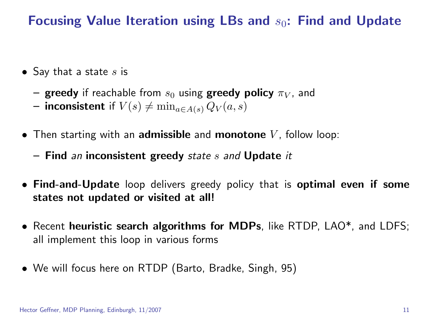Focusing Value Iteration using LBs and  $s_0$ : Find and Update

- Say that a state  $s$  is
	- greedy if reachable from  $s_0$  using greedy policy  $\pi_V$ , and
	- inconsistent if  $V(s) \neq \min_{a \in A(s)} Q_V(a, s)$
- Then starting with an **admissible** and **monotone**  $V$ , follow loop:
	- $-$  Find an inconsistent greedy state s and Update it
- Find-and-Update loop delivers greedy policy that is optimal even if some states not updated or visited at all!
- Recent heuristic search algorithms for MDPs, like RTDP, LAO<sup>\*</sup>, and LDFS; all implement this loop in various forms
- We will focus here on RTDP (Barto, Bradke, Singh, 95)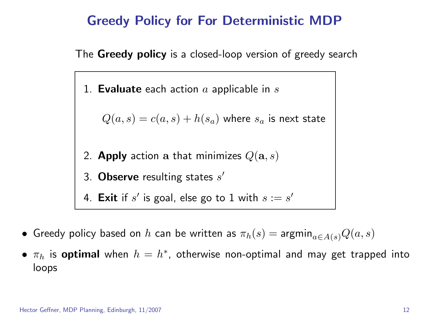#### Greedy Policy for For Deterministic MDP

The Greedy policy is a closed-loop version of greedy search

1. **Evaluate** each action  $a$  applicable in  $s$ 

 $Q(a, s) = c(a, s) + h(s_a)$  where  $s_a$  is next state

- 2. Apply action a that minimizes  $Q(\mathbf{a}, s)$
- 3. Observe resulting states  $s'$

4. Exit if  $s'$  is goal, else go to  $1$  with  $s:=s'$ 

- Greedy policy based on  $h$  can be written as  $\pi_h(s) = \mathrm{argmin}_{a \in A(s)} Q(a, s)$
- $\pi_h$  is optimal when  $h=h^*$ , otherwise non-optimal and may get trapped into loops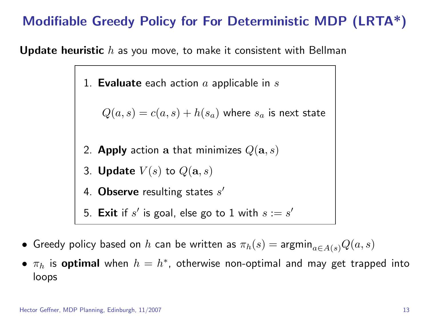## Modifiable Greedy Policy for For Deterministic MDP (LRTA\*)

**Update heuristic**  $h$  as you move, to make it consistent with Bellman

1. **Evaluate** each action  $a$  applicable in  $s$ 

 $Q(a, s) = c(a, s) + h(s_a)$  where  $s_a$  is next state

- 2. Apply action a that minimizes  $Q(\mathbf{a}, s)$
- 3. **Update**  $V(s)$  to  $Q(\mathbf{a}, s)$
- 4. Observe resulting states  $s'$
- 5. Exit if  $s'$  is goal, else go to 1 with  $s:=s'$
- Greedy policy based on h can be written as  $\pi_h(s) = \text{argmin}_{a \in A(s)} Q(a, s)$
- $\pi_h$  is optimal when  $h=h^*$ , otherwise non-optimal and may get trapped into loops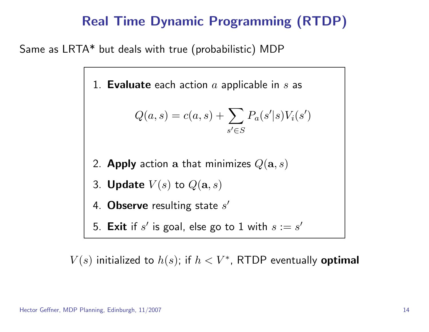## Real Time Dynamic Programming (RTDP)

Same as LRTA\* but deals with true (probabilistic) MDP

1. Evaluate each action  $a$  applicable in  $s$  as

$$
Q(a,s) = c(a,s) + \sum_{s' \in S} P_a(s'|s) V_i(s')
$$

- 2. Apply action a that minimizes  $Q(\mathbf{a},s)$
- 3. **Update**  $V(s)$  to  $Q(\mathbf{a}, s)$
- 4. Observe resulting state  $s'$
- 5. Exit if  $s'$  is goal, else go to  $1$  with  $s:=s'$

 $V(s)$  initialized to  $h(s)$ ; if  $h < V^*$ , RTDP eventually optimal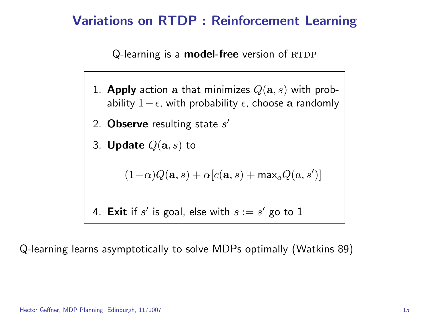### Variations on RTDP : Reinforcement Learning

Q-learning is a **model-free** version of  $RTDP$ 

- 1. Apply action a that minimizes  $Q(\mathbf{a}, s)$  with probability  $1-\epsilon$ , with probability  $\epsilon$ , choose a randomly
- 2. Observe resulting state  $s'$
- 3. **Update**  $Q(\mathbf{a}, s)$  to

$$
(1-\alpha)Q(\mathbf{a},s) + \alpha[c(\mathbf{a},s) + \max_{a}Q(a,s')]
$$

4. Exit if  $s'$  is goal, else with  $s:=s'$  go to 1

Q-learning learns asymptotically to solve MDPs optimally (Watkins 89)